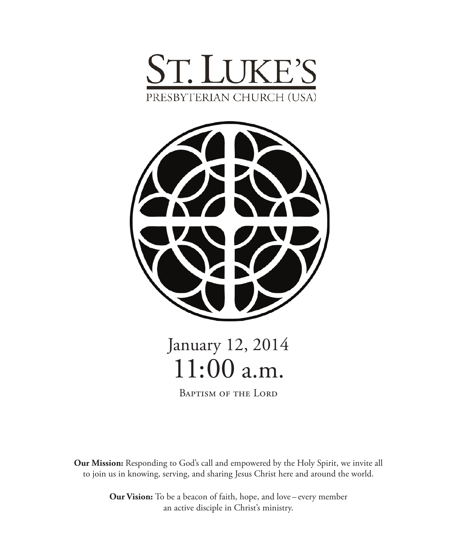



# January 12, 2014 11:00 a.m.

Baptism of the Lord

**Our Mission:** Responding to God's call and empowered by the Holy Spirit, we invite all to join us in knowing, serving, and sharing Jesus Christ here and around the world.

> **Our Vision:** To be a beacon of faith, hope, and love – every member an active disciple in Christ's ministry.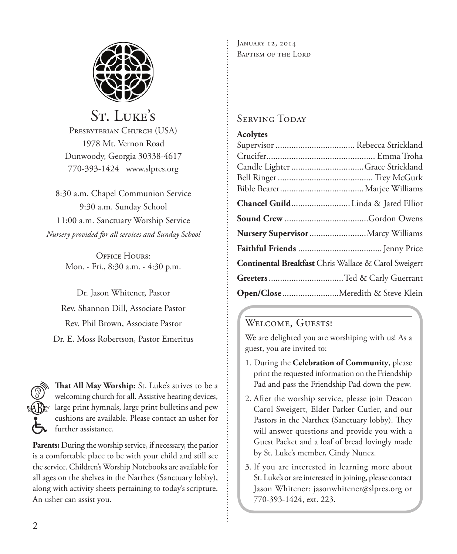

# St. Luke's

PRESBYTERIAN CHURCH (USA) 1978 Mt. Vernon Road Dunwoody, Georgia 30338-4617 770-393-1424 www.slpres.org

8:30 a.m. Chapel Communion Service 9:30 a.m. Sunday School 11:00 a.m. Sanctuary Worship Service *Nursery provided for all services and Sunday School*

> OFFICE HOURS: Mon. - Fri., 8:30 a.m. - 4:30 p.m.

Dr. Jason Whitener, Pastor Rev. Shannon Dill, Associate Pastor Rev. Phil Brown, Associate Pastor Dr. E. Moss Robertson, Pastor Emeritus



**That All May Worship:** St. Luke's strives to be a welcoming church for all. Assistive hearing devices, large print hymnals, large print bulletins and pew cushions are available. Please contact an usher for further assistance.

**Parents:** During the worship service, if necessary, the parlor is a comfortable place to be with your child and still see the service. Children's Worship Notebooks are available for all ages on the shelves in the Narthex (Sanctuary lobby), along with activity sheets pertaining to today's scripture. An usher can assist you.

January 12, 2014 BAPTISM OF THE LORD

# SERVING TODAY

### **Acolytes**

| Candle Lighter Grace Strickland                      |
|------------------------------------------------------|
|                                                      |
|                                                      |
| Chancel Guild Linda & Jared Elliot                   |
|                                                      |
| Nursery Supervisor  Marcy Williams                   |
|                                                      |
| Continental Breakfast Chris Wallace & Carol Sweigert |
| Greeters Ted & Carly Guerrant                        |
| Open/Close Meredith & Steve Klein                    |

# WELCOME, GUESTS!

We are delighted you are worshiping with us! As a guest, you are invited to:

- 1. During the **Celebration of Community**, please print the requested information on the Friendship Pad and pass the Friendship Pad down the pew.
- 2. After the worship service, please join Deacon Carol Sweigert, Elder Parker Cutler, and our Pastors in the Narthex (Sanctuary lobby). They will answer questions and provide you with a Guest Packet and a loaf of bread lovingly made by St. Luke's member, Cindy Nunez.
- 3. If you are interested in learning more about St. Luke's or are interested in joining, please contact Jason Whitener: jasonwhitener@slpres.org or 770-393-1424, ext. 223.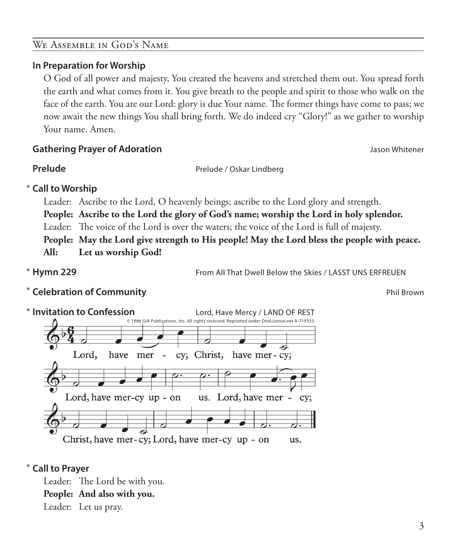# We Assemble in God's Name

# **In Preparation for Worship**

 O God of all power and majesty, You created the heavens and stretched them out. You spread forth the earth and what comes from it. You give breath to the people and spirit to those who walk on the face of the earth. You are our Lord: glory is due Your name. The former things have come to pass; we now await the new things You shall bring forth. We do indeed cry "Glory!" as we gather to worship Your name. Amen.

# **Gathering Prayer of Adoration** Jason Whitener

**Prelude** Prelude / Oskar Lindberg

**Call to Worship**  \*

Leader: Ascribe to the Lord, O heavenly beings; ascribe to the Lord glory and strength.

**People: Ascribe to the Lord the glory of God's name; worship the Lord in holy splendor.**

Leader: The voice of the Lord is over the waters; the voice of the Lord is full of majesty.

**People: May the Lord give strength to His people! May the Lord bless the people with peace.**

**All: Let us worship God!**

\* Hymn 229

**Hymn 229** From All That Dwell Below the Skies / LASST UNS ERFREUEN

**Example 2 A Celebration of Community Celebration of Community Phil Brown** 



# **Call to Prayer**  \*

Leader: The Lord be with you. **People: And also with you.** Leader: Let us pray.

3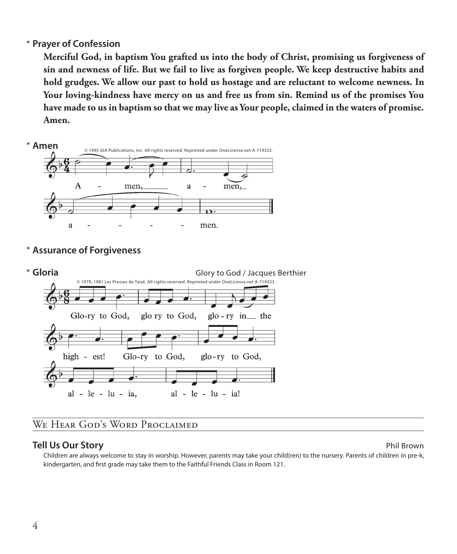# **Prayer of Confession**  \*

 **Merciful God, in baptism You grafted us into the body of Christ, promising us forgiveness of sin and newness of life. But we fail to live as forgiven people. We keep destructive habits and hold grudges. We allow our past to hold us hostage and are reluctant to welcome newness. In Your loving-kindness have mercy on us and free us from sin. Remind us of the promises You have made to us in baptism so that we may live as Your people, claimed in the waters of promise. Amen.**



**Assurance of Forgiveness** \*



# WE HEAR GOD'S WORD PROCLAIMED

# **Tell Us Our Story Phil Brown**

 Children are always welcome to stay in worship. However, parents may take your child(ren) to the nursery. Parents of children in pre-k, kindergarten, and first grade may take them to the Faithful Friends Class in Room 121.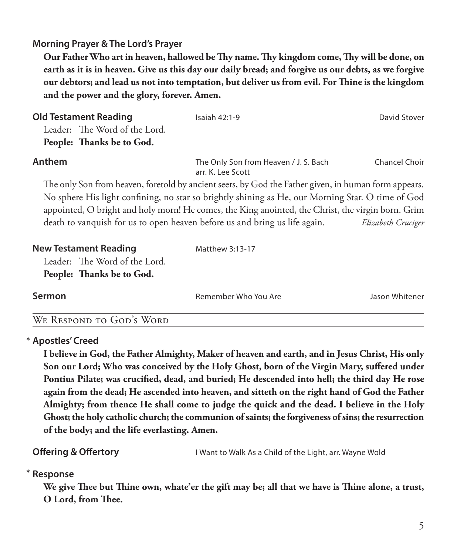# **Morning Prayer & The Lord's Prayer**

 **Our Father Who art in heaven, hallowed be Thy name. Thy kingdom come, Thy will be done, on earth as it is in heaven. Give us this day our daily bread; and forgive us our debts, as we forgive our debtors; and lead us not into temptation, but deliver us from evil. For Thine is the kingdom and the power and the glory, forever. Amen.**

| <b>Old Testament Reading</b><br>Leader: The Word of the Lord.<br>People: Thanks be to God. | Isaiah $42:1-9$                                                                                      | David Stover       |
|--------------------------------------------------------------------------------------------|------------------------------------------------------------------------------------------------------|--------------------|
| Anthem                                                                                     | The Only Son from Heaven / J. S. Bach<br>arr. K. Lee Scott                                           | Chancel Choir      |
|                                                                                            | The only Son from heaven, foretold by ancient seers, by God the Father given, in human form appears. |                    |
|                                                                                            | No sphere His light confining, no star so brightly shining as He, our Morning Star. O time of God    |                    |
|                                                                                            | appointed, O bright and holy morn! He comes, the King anointed, the Christ, the virgin born. Grim    |                    |
| death to vanquish for us to open heaven before us and bring us life again.                 |                                                                                                      | Elizabeth Cruciger |
| <b>New Testament Reading</b>                                                               | Matthew 3:13-17                                                                                      |                    |
| Leader: The Word of the Lord.                                                              |                                                                                                      |                    |
| People: Thanks be to God.                                                                  |                                                                                                      |                    |

**Sermon Remember Who You Are Manufarm Manufarm Member Who You Are Manufarm Member 2016** 

# We Respond to God's Word

# **Apostles' Creed** \*

 **I believe in God, the Father Almighty, Maker of heaven and earth, and in Jesus Christ, His only Son our Lord; Who was conceived by the Holy Ghost, born of the Virgin Mary, suffered under Pontius Pilate; was crucified, dead, and buried; He descended into hell; the third day He rose again from the dead; He ascended into heaven, and sitteth on the right hand of God the Father Almighty; from thence He shall come to judge the quick and the dead. I believe in the Holy Ghost; the holy catholic church; the communion of saints; the forgiveness of sins; the resurrection of the body; and the life everlasting. Amen.**

**Offering & Offertory I** Want to Walk As a Child of the Light, arr. Wayne Wold

#### **Response** \*

 **We give Thee but Thine own, whate'er the gift may be; all that we have is Thine alone, a trust, O Lord, from Thee.**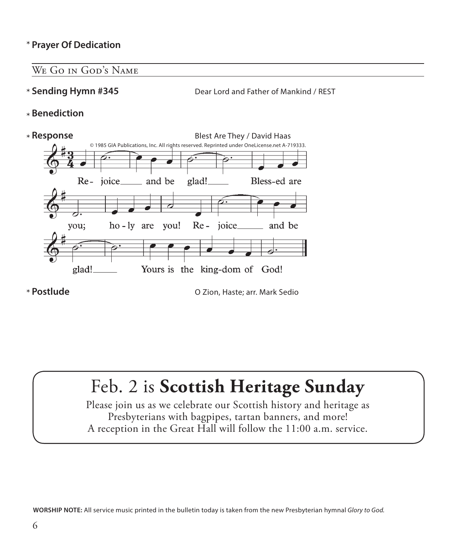# **Prayer Of Dedication** \*

# WE GO IN GOD'S NAME

\* Sending Hymn #345

Dear Lord and Father of Mankind / REST

**Benediction** \*



\* Postlude

**Postlude** O Zion, Haste; arr. Mark Sedio

# Feb. 2 is **Scottish Heritage Sunday**

Please join us as we celebrate our Scottish history and heritage as Presbyterians with bagpipes, tartan banners, and more! A reception in the Great Hall will follow the 11:00 a.m. service.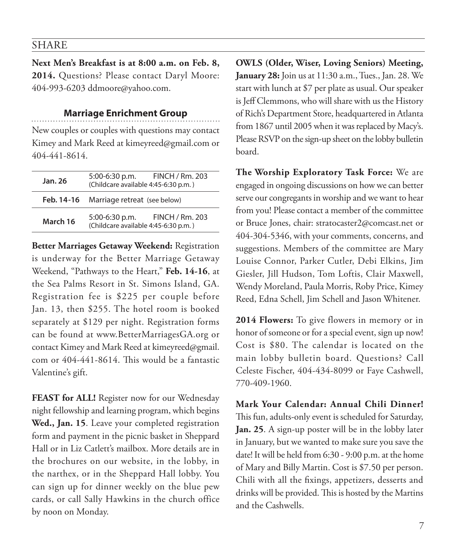### SHARE

**Next Men's Breakfast is at 8:00 a.m. on Feb. 8, 2014.** Questions? Please contact Daryl Moore: 404-993-6203 ddmoore@yahoo.com.

#### **Marriage Enrichment Group**

New couples or couples with questions may contact Kimey and Mark Reed at kimeyreed@gmail.com or 404-441-8614.

| Jan. 26    | FINCH / Rm. 203<br>$5:00-6:30$ p.m.<br>(Childcare available 4:45-6:30 p.m.)        |  |
|------------|------------------------------------------------------------------------------------|--|
| Feb. 14-16 | Marriage retreat (see below)                                                       |  |
| March 16   | <b>FINCH / Rm. 203</b><br>$5:00-6:30$ p.m.<br>(Childcare available 4:45-6:30 p.m.) |  |

**Better Marriages Getaway Weekend:** Registration is underway for the Better Marriage Getaway Weekend, "Pathways to the Heart," **Feb. 14-16**, at the Sea Palms Resort in St. Simons Island, GA. Registration fee is \$225 per couple before Jan. 13, then \$255. The hotel room is booked separately at \$129 per night. Registration forms can be found at www.BetterMarriagesGA.org or contact Kimey and Mark Reed at kimeyreed@gmail. com or 404-441-8614. This would be a fantastic Valentine's gift.

**FEAST for ALL!** Register now for our Wednesday night fellowship and learning program, which begins **Wed., Jan. 15**. Leave your completed registration form and payment in the picnic basket in Sheppard Hall or in Liz Catlett's mailbox. More details are in the brochures on our website, in the lobby, in the narthex, or in the Sheppard Hall lobby. You can sign up for dinner weekly on the blue pew cards, or call Sally Hawkins in the church office by noon on Monday.

**OWLS (Older, Wiser, Loving Seniors) Meeting, January 28:** Join us at 11:30 a.m., Tues., Jan. 28. We start with lunch at \$7 per plate as usual. Our speaker is Jeff Clemmons, who will share with us the History of Rich's Department Store, headquartered in Atlanta from 1867 until 2005 when it was replaced by Macy's. Please RSVP on the sign-up sheet on the lobby bulletin board.

**The Worship Exploratory Task Force:** We are engaged in ongoing discussions on how we can better serve our congregants in worship and we want to hear from you! Please contact a member of the committee or Bruce Jones, chair: stratocaster2@comcast.net or 404-304-5346, with your comments, concerns, and suggestions. Members of the committee are Mary Louise Connor, Parker Cutler, Debi Elkins, Jim Giesler, Jill Hudson, Tom Loftis, Clair Maxwell, Wendy Moreland, Paula Morris, Roby Price, Kimey Reed, Edna Schell, Jim Schell and Jason Whitener.

**2014 Flowers:** To give flowers in memory or in honor of someone or for a special event, sign up now! Cost is \$80. The calendar is located on the main lobby bulletin board. Questions? Call Celeste Fischer, 404-434-8099 or Faye Cashwell, 770-409-1960.

**Mark Your Calendar: Annual Chili Dinner!** This fun, adults-only event is scheduled for Saturday, **Jan. 25**. A sign-up poster will be in the lobby later in January, but we wanted to make sure you save the date! It will be held from 6:30 - 9:00 p.m. at the home of Mary and Billy Martin. Cost is \$7.50 per person. Chili with all the fixings, appetizers, desserts and drinks will be provided. This is hosted by the Martins and the Cashwells.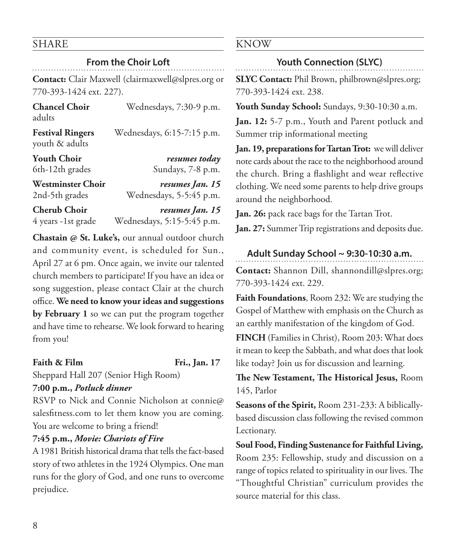# SHARE

# **From the Choir Loft**

**Contact:** Clair Maxwell (clairmaxwell@slpres.org or 770-393-1424 ext. 227).

| <b>Chancel Choir</b><br>adults            | Wednesdays, 7:30-9 p.m.    |
|-------------------------------------------|----------------------------|
| <b>Festival Ringers</b><br>youth & adults | Wednesdays, 6:15-7:15 p.m. |
| <b>Youth Choir</b>                        | resumes today              |
| 6th-12th grades                           | Sundays, 7-8 p.m.          |
| <b>Westminster Choir</b>                  | resumes Jan. 15            |
| 2nd-5th grades                            | Wednesdays, 5-5:45 p.m.    |
| <b>Cherub Choir</b>                       | resumes Jan. 15            |
| 4 years -1st grade                        | Wednesdays, 5:15-5:45 p.m. |

**Chastain @ St. Luke's,** our annual outdoor church and community event, is scheduled for Sun., April 27 at 6 pm. Once again, we invite our talented church members to participate! If you have an idea or song suggestion, please contact Clair at the church office. **We need to know your ideas and suggestions by February 1** so we can put the program together and have time to rehearse. We look forward to hearing from you!

**Faith & Film Fri., Jan. 17**

Sheppard Hall 207 (Senior High Room)

# **7:00 p.m.,** *Potluck dinner*

RSVP to Nick and Connie Nicholson at connie@ salesfitness.com to let them know you are coming. You are welcome to bring a friend!

# **7:45 p.m.,** *Movie: Chariots of Fire*

A 1981 British historical drama that tells the fact-based story of two athletes in the 1924 Olympics. One man runs for the glory of God, and one runs to overcome prejudice.

# KNOW

# **Youth Connection (SLYC)**

**SLYC Contact:** Phil Brown, philbrown@slpres.org; 770-393-1424 ext. 238.

**Youth Sunday School:** Sundays, 9:30-10:30 a.m.

**Jan. 12:** 5-7 p.m., Youth and Parent potluck and Summer trip informational meeting

**Jan. 19, preparations for Tartan Trot:** we will deliver note cards about the race to the neighborhood around the church. Bring a flashlight and wear reflective clothing. We need some parents to help drive groups around the neighborhood.

**Jan. 26:** pack race bags for the Tartan Trot.

**Jan. 27:** Summer Trip registrations and deposits due.

# **Adult Sunday School ~ 9:30-10:30 a.m.**

**Contact:** Shannon Dill, shannondill@slpres.org; 770-393-1424 ext. 229.

**Faith Foundations**, Room 232: We are studying the Gospel of Matthew with emphasis on the Church as an earthly manifestation of the kingdom of God.

**FINCH** (Families in Christ), Room 203: What does it mean to keep the Sabbath, and what does that look like today? Join us for discussion and learning.

**The New Testament, The Historical Jesus,** Room 145, Parlor

**Seasons of the Spirit,** Room 231-233: A biblicallybased discussion class following the revised common Lectionary.

**Soul Food, Finding Sustenance for Faithful Living,** Room 235: Fellowship, study and discussion on a range of topics related to spirituality in our lives. The "Thoughtful Christian" curriculum provides the source material for this class.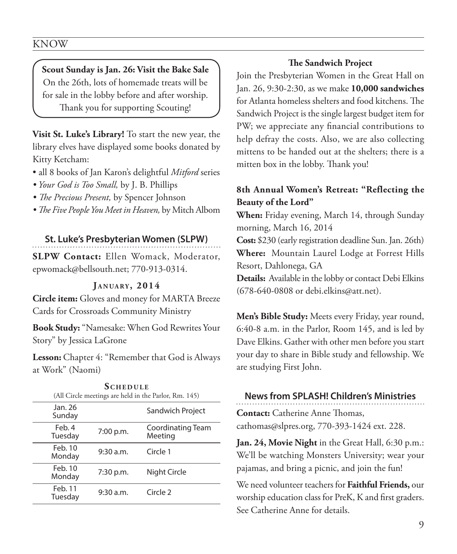**Scout Sunday is Jan. 26: Visit the Bake Sale** On the 26th, lots of homemade treats will be for sale in the lobby before and after worship. Thank you for supporting Scouting!

**Visit St. Luke's Library!** To start the new year, the library elves have displayed some books donated by Kitty Ketcham:

- all 8 books of Jan Karon's delightful *Mitford* series
- *Your God is Too Small,* by J. B. Phillips
- *The Precious Present,* by Spencer Johnson
- *The Five People You Meet in Heaven,* by Mitch Albom

### **St. Luke's Presbyterian Women (SLPW)**

**SLPW Contact:** Ellen Womack, Moderator, epwomack@bellsouth.net; 770-913-0314.

#### **J a n ua ry , 2014**

**Circle item:** Gloves and money for MARTA Breeze Cards for Crossroads Community Ministry

**Book Study:** "Namesake: When God Rewrites Your Story" by Jessica LaGrone

**Lesson:** Chapter 4: "Remember that God is Always at Work" (Naomi)

| <b>SCHEDULE</b><br>(All Circle meetings are held in the Parlor, Rm. 145) |             |                              |  |
|--------------------------------------------------------------------------|-------------|------------------------------|--|
| Jan. 26<br>Sunday                                                        |             | Sandwich Project             |  |
| Feb. 4<br>Tuesday                                                        | 7:00 p.m.   | Coordinating Team<br>Meeting |  |
| Feb. 10<br>Monday                                                        | 9:30 a.m.   | Circle 1                     |  |
| Feb. 10<br>Monday                                                        | $7:30$ p.m. | Night Circle                 |  |
| Feb. 11<br>Tuesday                                                       | 9:30 a.m.   | Circle <sub>2</sub>          |  |

#### **The Sandwich Project**

Join the Presbyterian Women in the Great Hall on Jan. 26, 9:30-2:30, as we make **10,000 sandwiches** for Atlanta homeless shelters and food kitchens. The Sandwich Project is the single largest budget item for PW; we appreciate any financial contributions to help defray the costs. Also, we are also collecting mittens to be handed out at the shelters; there is a mitten box in the lobby. Thank you!

# **8th Annual Women's Retreat: "Reflecting the Beauty of the Lord"**

**When:** Friday evening, March 14, through Sunday morning, March 16, 2014

**Cost:** \$230 (early registration deadline Sun. Jan. 26th) **Where:** Mountain Laurel Lodge at Forrest Hills Resort, Dahlonega, GA

**Details:** Available in the lobby or contact Debi Elkins (678-640-0808 or debi.elkins@att.net).

**Men's Bible Study:** Meets every Friday, year round, 6:40-8 a.m. in the Parlor, Room 145, and is led by Dave Elkins. Gather with other men before you start your day to share in Bible study and fellowship. We are studying First John.

# **News from SPLASH! Children's Ministries Contact:** Catherine Anne Thomas, cathomas@slpres.org, 770-393-1424 ext. 228.

**Jan. 24, Movie Night** in the Great Hall, 6:30 p.m.: We'll be watching Monsters University; wear your pajamas, and bring a picnic, and join the fun!

We need volunteer teachers for **Faithful Friends,** our worship education class for PreK, K and first graders. See Catherine Anne for details.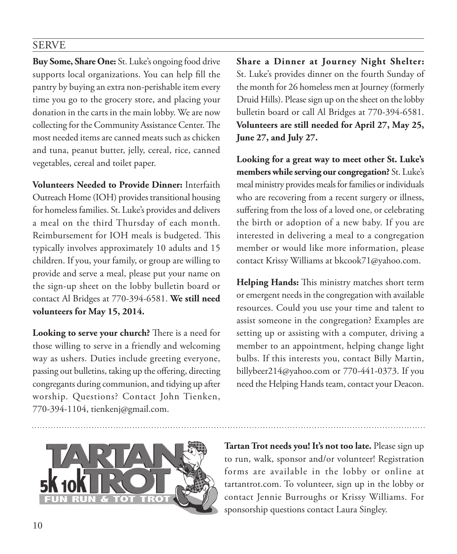# SERVE

**Buy Some, Share One:** St. Luke's ongoing food drive supports local organizations. You can help fill the pantry by buying an extra non-perishable item every time you go to the grocery store, and placing your donation in the carts in the main lobby. We are now collecting for the Community Assistance Center. The most needed items are canned meats such as chicken and tuna, peanut butter, jelly, cereal, rice, canned vegetables, cereal and toilet paper.

**Volunteers Needed to Provide Dinner:** Interfaith Outreach Home (IOH) provides transitional housing for homeless families. St. Luke's provides and delivers a meal on the third Thursday of each month. Reimbursement for IOH meals is budgeted. This typically involves approximately 10 adults and 15 children. If you, your family, or group are willing to provide and serve a meal, please put your name on the sign-up sheet on the lobby bulletin board or contact Al Bridges at 770-394-6581. **We still need volunteers for May 15, 2014.**

**Looking to serve your church?** There is a need for those willing to serve in a friendly and welcoming way as ushers. Duties include greeting everyone, passing out bulletins, taking up the offering, directing congregants during communion, and tidying up after worship. Questions? Contact John Tienken, 770-394-1104, tienkenj@gmail.com.

**Share a Dinner at Journey Night Shelter:** St. Luke's provides dinner on the fourth Sunday of the month for 26 homeless men at Journey (formerly Druid Hills). Please sign up on the sheet on the lobby bulletin board or call Al Bridges at 770-394-6581. **Volunteers are still needed for April 27, May 25, June 27, and July 27.**

**Looking for a great way to meet other St. Luke's members while serving our congregation?** St. Luke's meal ministry provides meals for families or individuals who are recovering from a recent surgery or illness, suffering from the loss of a loved one, or celebrating the birth or adoption of a new baby. If you are interested in delivering a meal to a congregation member or would like more information, please contact Krissy Williams at bkcook71@yahoo.com.

**Helping Hands:** This ministry matches short term or emergent needs in the congregation with available resources. Could you use your time and talent to assist someone in the congregation? Examples are setting up or assisting with a computer, driving a member to an appointment, helping change light bulbs. If this interests you, contact Billy Martin, billybeer214@yahoo.com or 770-441-0373. If you need the Helping Hands team, contact your Deacon.



**Tartan Trot needs you! It's not too late.** Please sign up to run, walk, sponsor and/or volunteer! Registration forms are available in the lobby or online at tartantrot.com. To volunteer, sign up in the lobby or contact Jennie Burroughs or Krissy Williams. For sponsorship questions contact Laura Singley.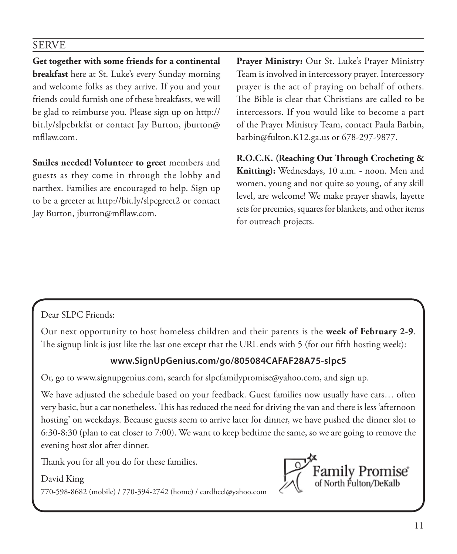# SERVE

**Get together with some friends for a continental breakfast** here at St. Luke's every Sunday morning and welcome folks as they arrive. If you and your friends could furnish one of these breakfasts, we will be glad to reimburse you. Please sign up on http:// bit.ly/slpcbrkfst or contact Jay Burton, jburton@ mfllaw.com.

**Smiles needed! Volunteer to greet** members and guests as they come in through the lobby and narthex. Families are encouraged to help. Sign up to be a greeter at http://bit.ly/slpcgreet2 or contact Jay Burton, jburton@mfllaw.com.

**Prayer Ministry:** Our St. Luke's Prayer Ministry Team is involved in intercessory prayer. Intercessory prayer is the act of praying on behalf of others. The Bible is clear that Christians are called to be intercessors. If you would like to become a part of the Prayer Ministry Team, contact Paula Barbin, barbin@fulton.K12.ga.us or 678-297-9877.

**R.O.C.K. (Reaching Out Through Crocheting & Knitting):** Wednesdays, 10 a.m. - noon. Men and women, young and not quite so young, of any skill level, are welcome! We make prayer shawls, layette sets for preemies, squares for blankets, and other items for outreach projects.

# Dear SLPC Friends:

Our next opportunity to host homeless children and their parents is the **week of February 2-9**. The signup link is just like the last one except that the URL ends with 5 (for our fifth hosting week):

# **www.SignUpGenius.com/go/805084CAFAF28A75-slpc5**

Or, go to www.signupgenius.com, search for slpcfamilypromise@yahoo.com, and sign up.

We have adjusted the schedule based on your feedback. Guest families now usually have cars… often very basic, but a car nonetheless. This has reduced the need for driving the van and there is less 'afternoon hosting' on weekdays. Because guests seem to arrive later for dinner, we have pushed the dinner slot to 6:30-8:30 (plan to eat closer to 7:00). We want to keep bedtime the same, so we are going to remove the evening host slot after dinner.

Thank you for all you do for these families.

David King 770-598-8682 (mobile) / 770-394-2742 (home) / cardheel@yahoo.com